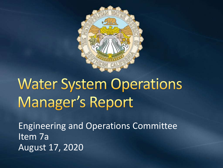

# **Water System Operations** Manager's Report

Engineering and Operations Committee Item 7a August 17, 2020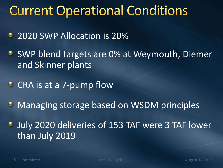# **Current Operational Conditions**

- 2020 SWP Allocation is 20%
- **SWP blend targets are 0% at Weymouth, Diemer** and Skinner plants
- CRA is at a 7-pump flow
- **Managing storage based on WSDM principles**
- July 2020 deliveries of 153 TAF were 3 TAF lower than July 2019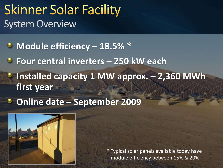#### **Skinner Solar Facility** System Overview

**Module efficiency – 18.5% \***

- **Four central inverters – 250 kW each**
- **Installed capacity 1 MW approx. – 2,360 MWh first year**
- **Online date – September 2009**



External External Committee Incolute efficiency between 15% & 20% \* Typical solar panels available today have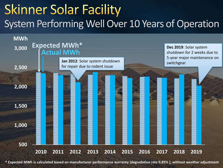# **Skinner Solar Facility** System Performing Well Over 10 Years of Operation



**\* Expected MWh is calculated based on manufacturer performance warranty (degradation rate 0.85%), without weather adjustment**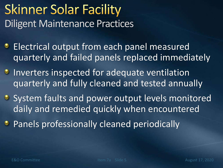# **Skinner Solar Facility** Diligent Maintenance Practices

- **Electrical output from each panel measured** quarterly and failed panels replaced immediately
- **Inverters inspected for adequate ventilation** quarterly and fully cleaned and tested annually
- **System faults and power output levels monitored** daily and remedied quickly when encountered
- **Panels professionally cleaned periodically**